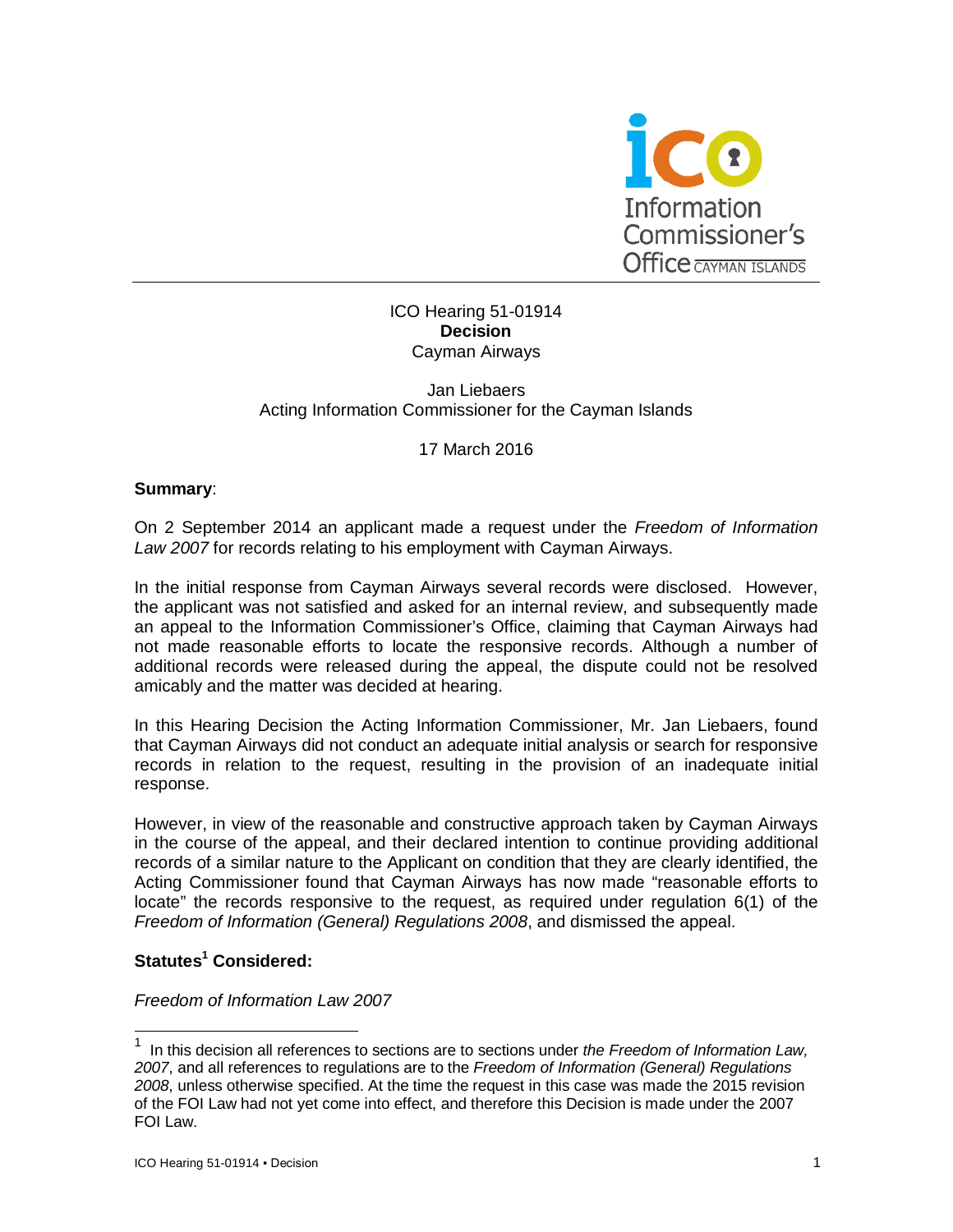

# ICO Hearing 51-01914 **Decision** Cayman Airways

#### Jan Liebaers Acting Information Commissioner for the Cayman Islands

## 17 March 2016

## **Summary**:

On 2 September 2014 an applicant made a request under the *Freedom of Information Law 2007* for records relating to his employment with Cayman Airways.

In the initial response from Cayman Airways several records were disclosed. However, the applicant was not satisfied and asked for an internal review, and subsequently made an appeal to the Information Commissioner's Office, claiming that Cayman Airways had not made reasonable efforts to locate the responsive records. Although a number of additional records were released during the appeal, the dispute could not be resolved amicably and the matter was decided at hearing.

In this Hearing Decision the Acting Information Commissioner, Mr. Jan Liebaers, found that Cayman Airways did not conduct an adequate initial analysis or search for responsive records in relation to the request, resulting in the provision of an inadequate initial response.

However, in view of the reasonable and constructive approach taken by Cayman Airways in the course of the appeal, and their declared intention to continue providing additional records of a similar nature to the Applicant on condition that they are clearly identified, the Acting Commissioner found that Cayman Airways has now made "reasonable efforts to locate" the records responsive to the request, as required under regulation 6(1) of the *Freedom of Information (General) Regulations 2008*, and dismissed the appeal.

# **Statutes<sup>1</sup> Considered:**

-

#### *Freedom of Information Law 2007*

<sup>1</sup> In this decision all references to sections are to sections under *the Freedom of Information Law, 2007*, and all references to regulations are to the *Freedom of Information (General) Regulations 2008*, unless otherwise specified. At the time the request in this case was made the 2015 revision of the FOI Law had not yet come into effect, and therefore this Decision is made under the 2007 FOI Law.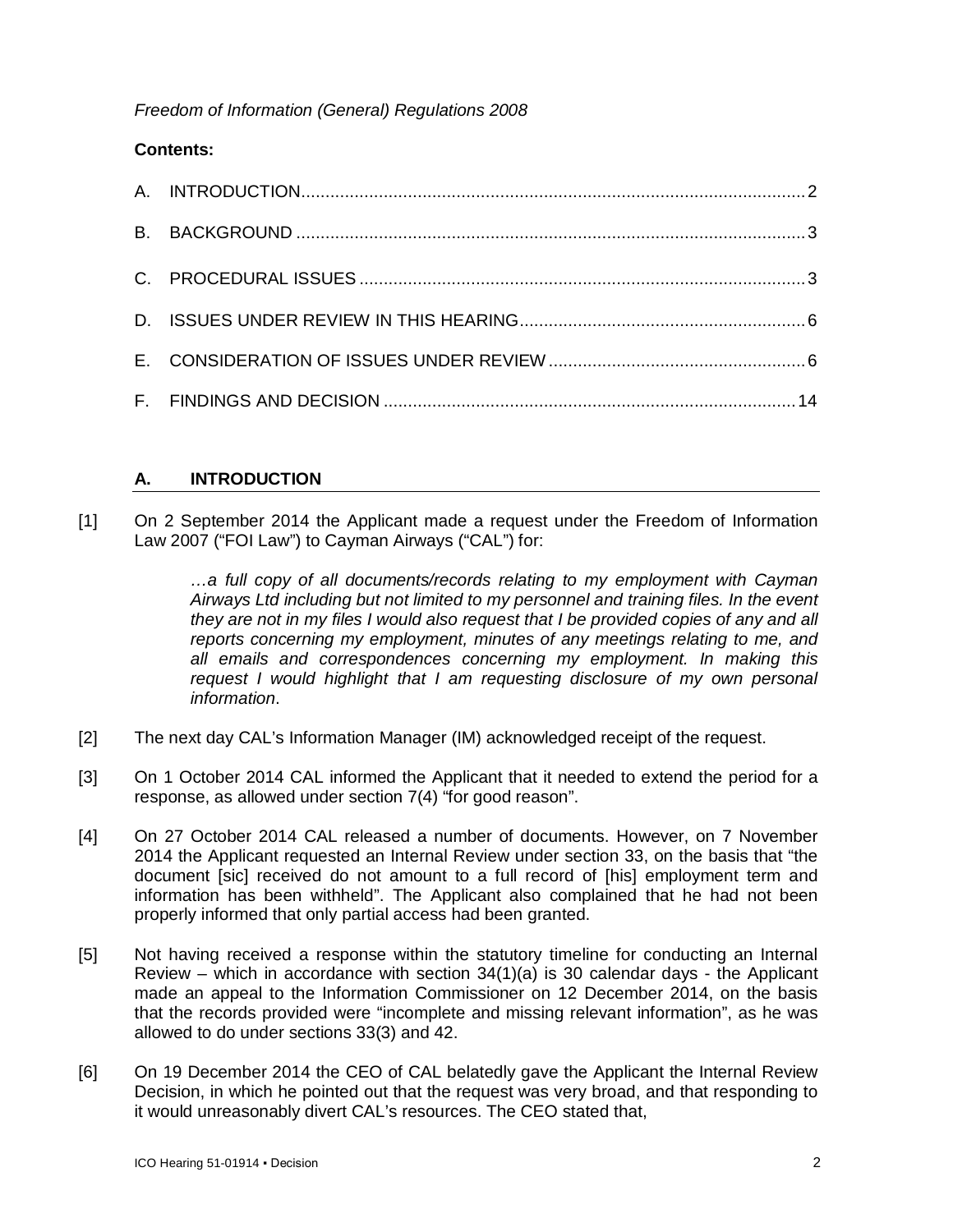*Freedom of Information (General) Regulations 2008*

# **Contents:**

# **A. INTRODUCTION**

[1] On 2 September 2014 the Applicant made a request under the Freedom of Information Law 2007 ("FOI Law") to Cayman Airways ("CAL") for:

> *…a full copy of all documents/records relating to my employment with Cayman Airways Ltd including but not limited to my personnel and training files. In the event they are not in my files I would also request that I be provided copies of any and all reports concerning my employment, minutes of any meetings relating to me, and all emails and correspondences concerning my employment. In making this request I would highlight that I am requesting disclosure of my own personal information*.

- [2] The next day CAL's Information Manager (IM) acknowledged receipt of the request.
- [3] On 1 October 2014 CAL informed the Applicant that it needed to extend the period for a response, as allowed under section 7(4) "for good reason".
- [4] On 27 October 2014 CAL released a number of documents. However, on 7 November 2014 the Applicant requested an Internal Review under section 33, on the basis that "the document [sic] received do not amount to a full record of [his] employment term and information has been withheld". The Applicant also complained that he had not been properly informed that only partial access had been granted.
- [5] Not having received a response within the statutory timeline for conducting an Internal Review – which in accordance with section  $34(1)(a)$  is 30 calendar days - the Applicant made an appeal to the Information Commissioner on 12 December 2014, on the basis that the records provided were "incomplete and missing relevant information", as he was allowed to do under sections 33(3) and 42.
- [6] On 19 December 2014 the CEO of CAL belatedly gave the Applicant the Internal Review Decision, in which he pointed out that the request was very broad, and that responding to it would unreasonably divert CAL's resources. The CEO stated that,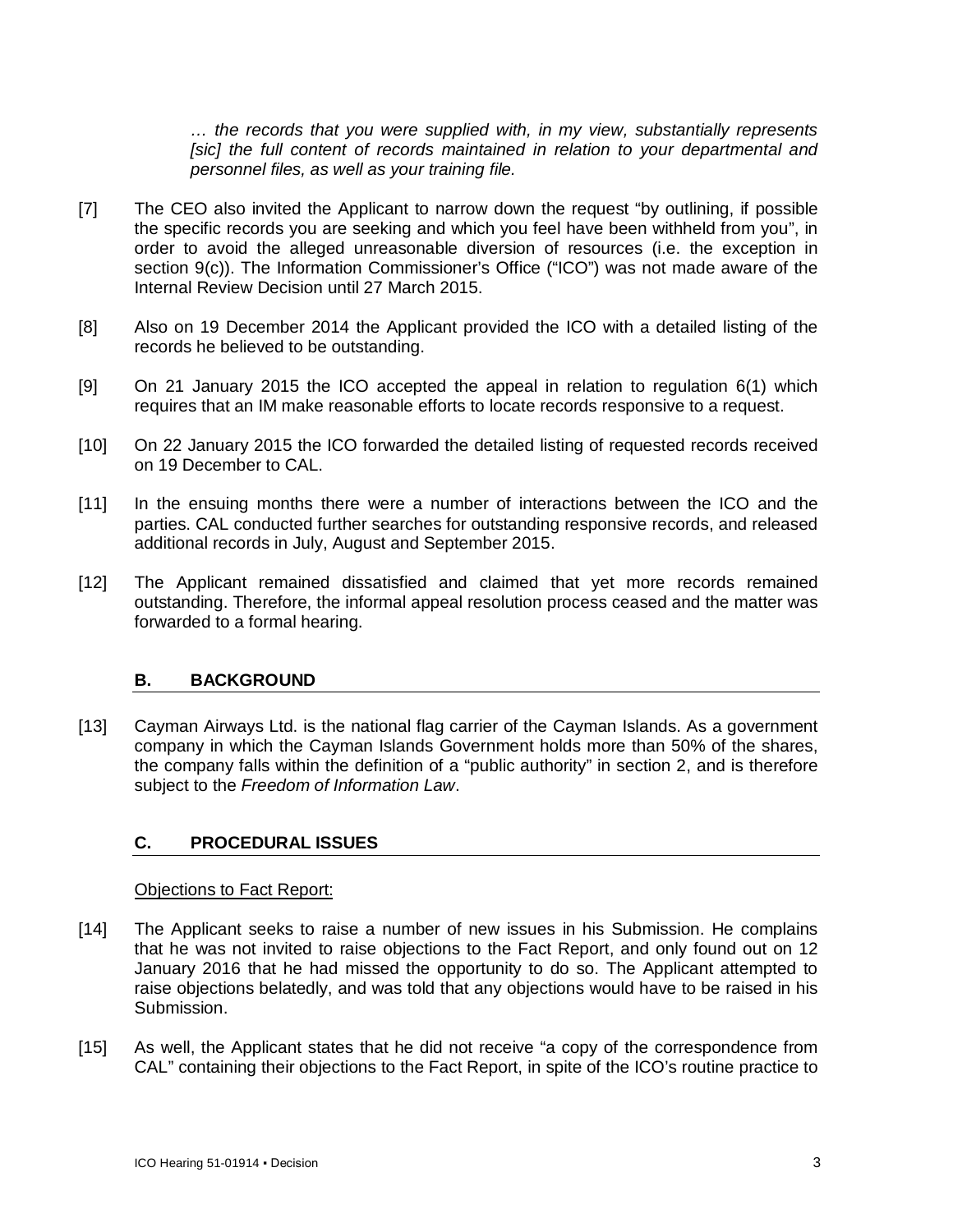*… the records that you were supplied with, in my view, substantially represents [sic] the full content of records maintained in relation to your departmental and personnel files, as well as your training file.*

- [7] The CEO also invited the Applicant to narrow down the request "by outlining, if possible the specific records you are seeking and which you feel have been withheld from you", in order to avoid the alleged unreasonable diversion of resources (i.e. the exception in section 9(c)). The Information Commissioner's Office ("ICO") was not made aware of the Internal Review Decision until 27 March 2015.
- [8] Also on 19 December 2014 the Applicant provided the ICO with a detailed listing of the records he believed to be outstanding.
- [9] On 21 January 2015 the ICO accepted the appeal in relation to regulation 6(1) which requires that an IM make reasonable efforts to locate records responsive to a request.
- [10] On 22 January 2015 the ICO forwarded the detailed listing of requested records received on 19 December to CAL.
- [11] In the ensuing months there were a number of interactions between the ICO and the parties. CAL conducted further searches for outstanding responsive records, and released additional records in July, August and September 2015.
- [12] The Applicant remained dissatisfied and claimed that yet more records remained outstanding. Therefore, the informal appeal resolution process ceased and the matter was forwarded to a formal hearing.

#### **B. BACKGROUND**

[13] Cayman Airways Ltd. is the national flag carrier of the Cayman Islands. As a government company in which the Cayman Islands Government holds more than 50% of the shares, the company falls within the definition of a "public authority" in section 2, and is therefore subject to the *Freedom of Information Law*.

# **C. PROCEDURAL ISSUES**

# Objections to Fact Report:

- [14] The Applicant seeks to raise a number of new issues in his Submission. He complains that he was not invited to raise objections to the Fact Report, and only found out on 12 January 2016 that he had missed the opportunity to do so. The Applicant attempted to raise objections belatedly, and was told that any objections would have to be raised in his Submission.
- [15] As well, the Applicant states that he did not receive "a copy of the correspondence from CAL" containing their objections to the Fact Report, in spite of the ICO's routine practice to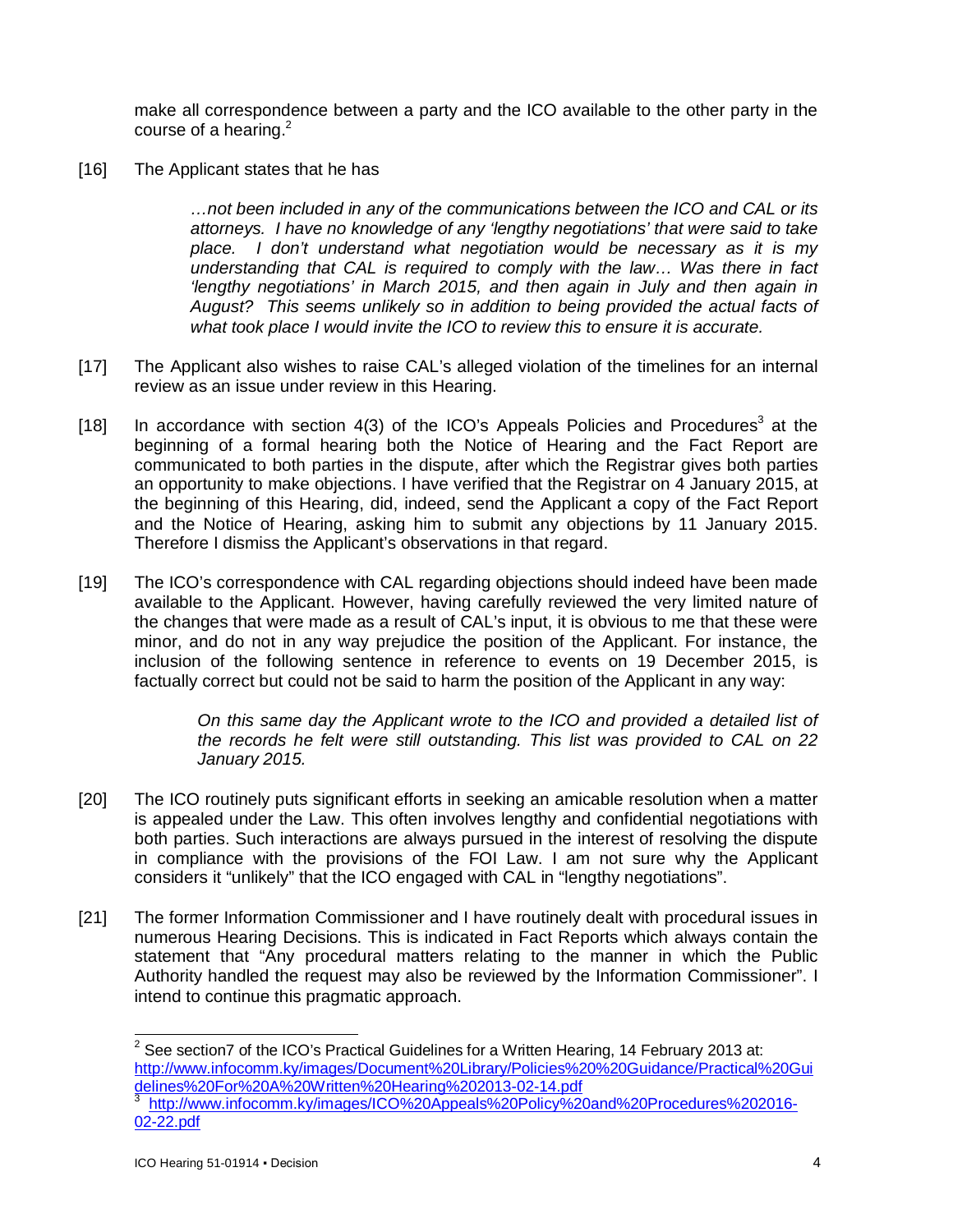make all correspondence between a party and the ICO available to the other party in the course of a hearing. $2^2$ 

[16] The Applicant states that he has

*…not been included in any of the communications between the ICO and CAL or its attorneys. I have no knowledge of any 'lengthy negotiations' that were said to take place. I don't understand what negotiation would be necessary as it is my understanding that CAL is required to comply with the law… Was there in fact 'lengthy negotiations' in March 2015, and then again in July and then again in August? This seems unlikely so in addition to being provided the actual facts of what took place I would invite the ICO to review this to ensure it is accurate.*

- [17] The Applicant also wishes to raise CAL's alleged violation of the timelines for an internal review as an issue under review in this Hearing.
- [18] In accordance with section 4(3) of the ICO's Appeals Policies and Procedures<sup>3</sup> at the beginning of a formal hearing both the Notice of Hearing and the Fact Report are communicated to both parties in the dispute, after which the Registrar gives both parties an opportunity to make objections. I have verified that the Registrar on 4 January 2015, at the beginning of this Hearing, did, indeed, send the Applicant a copy of the Fact Report and the Notice of Hearing, asking him to submit any objections by 11 January 2015. Therefore I dismiss the Applicant's observations in that regard.
- [19] The ICO's correspondence with CAL regarding objections should indeed have been made available to the Applicant. However, having carefully reviewed the very limited nature of the changes that were made as a result of CAL's input, it is obvious to me that these were minor, and do not in any way prejudice the position of the Applicant. For instance, the inclusion of the following sentence in reference to events on 19 December 2015, is factually correct but could not be said to harm the position of the Applicant in any way:

*On this same day the Applicant wrote to the ICO and provided a detailed list of the records he felt were still outstanding. This list was provided to CAL on 22 January 2015.*

- [20] The ICO routinely puts significant efforts in seeking an amicable resolution when a matter is appealed under the Law. This often involves lengthy and confidential negotiations with both parties. Such interactions are always pursued in the interest of resolving the dispute in compliance with the provisions of the FOI Law. I am not sure why the Applicant considers it "unlikely" that the ICO engaged with CAL in "lengthy negotiations".
- [21] The former Information Commissioner and I have routinely dealt with procedural issues in numerous Hearing Decisions. This is indicated in Fact Reports which always contain the statement that "Any procedural matters relating to the manner in which the Public Authority handled the request may also be reviewed by the Information Commissioner". I intend to continue this pragmatic approach.

 $\overline{\mathbf{c}}$ See section7 of the ICO's Practical Guidelines for a Written Hearing, 14 February 2013 at: <http://www.infocomm.ky/images/Document%20Library/Policies%20%20Guidance/Practical%20Gui> delines%20For%20A%20Written%20Hearing%202013-02-14.pdf 3 <http://www.infocomm.ky/images/ICO%20Appeals%20Policy%20and%20Procedures%202016-> 02-22.pdf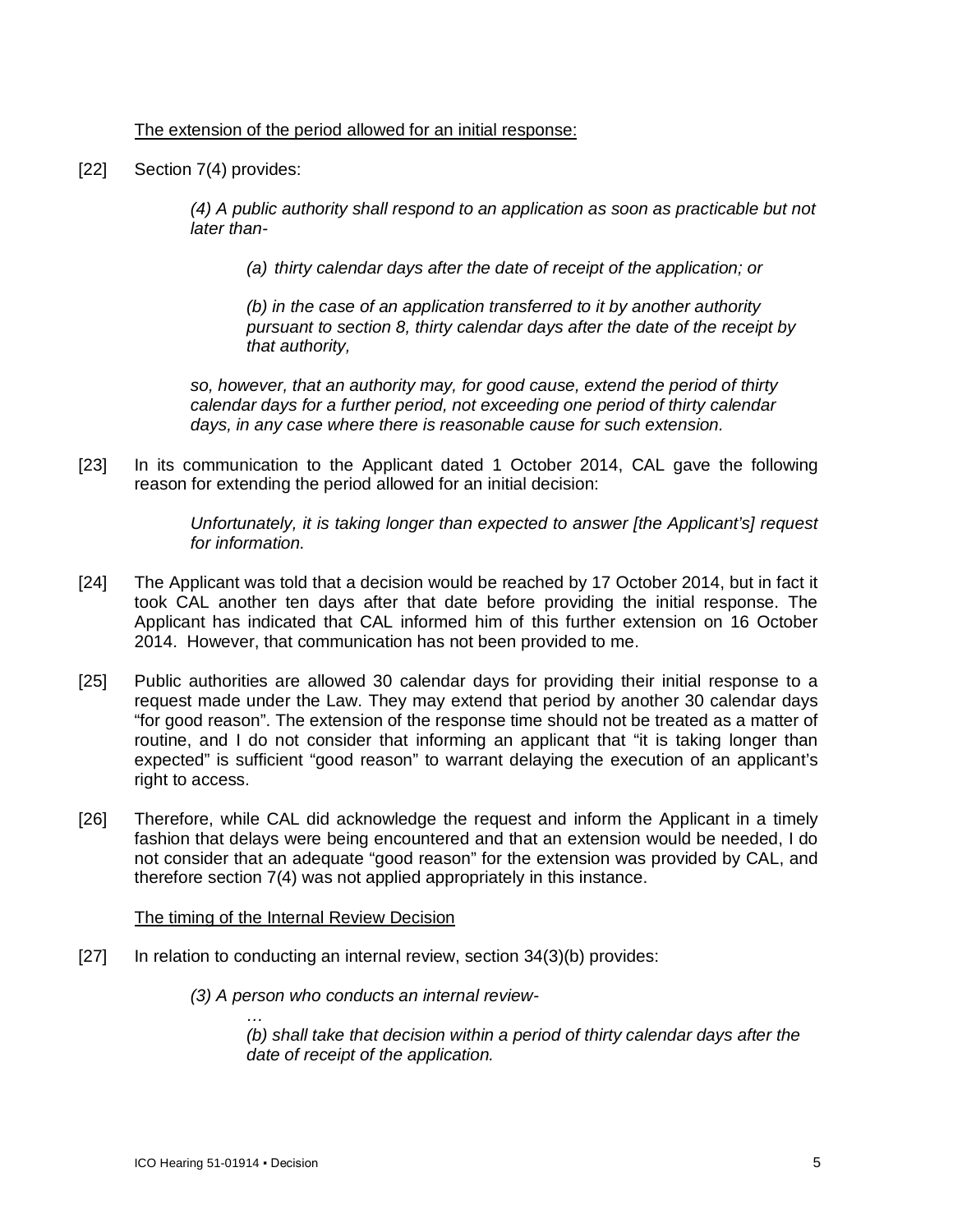#### The extension of the period allowed for an initial response:

[22] Section 7(4) provides:

*(4) A public authority shall respond to an application as soon as practicable but not later than-*

*(a) thirty calendar days after the date of receipt of the application; or*

*(b) in the case of an application transferred to it by another authority pursuant to section 8, thirty calendar days after the date of the receipt by that authority,*

*so, however, that an authority may, for good cause, extend the period of thirty calendar days for a further period, not exceeding one period of thirty calendar days, in any case where there is reasonable cause for such extension.*

[23] In its communication to the Applicant dated 1 October 2014, CAL gave the following reason for extending the period allowed for an initial decision:

> *Unfortunately, it is taking longer than expected to answer [the Applicant's] request for information.*

- [24] The Applicant was told that a decision would be reached by 17 October 2014, but in fact it took CAL another ten days after that date before providing the initial response. The Applicant has indicated that CAL informed him of this further extension on 16 October 2014. However, that communication has not been provided to me.
- [25] Public authorities are allowed 30 calendar days for providing their initial response to a request made under the Law. They may extend that period by another 30 calendar days "for good reason". The extension of the response time should not be treated as a matter of routine, and I do not consider that informing an applicant that "it is taking longer than expected" is sufficient "good reason" to warrant delaying the execution of an applicant's right to access.
- [26] Therefore, while CAL did acknowledge the request and inform the Applicant in a timely fashion that delays were being encountered and that an extension would be needed, I do not consider that an adequate "good reason" for the extension was provided by CAL, and therefore section 7(4) was not applied appropriately in this instance.

#### The timing of the Internal Review Decision

- [27] In relation to conducting an internal review, section 34(3)(b) provides:
	- *(3) A person who conducts an internal review-*

*(b) shall take that decision within a period of thirty calendar days after the date of receipt of the application.*

*…*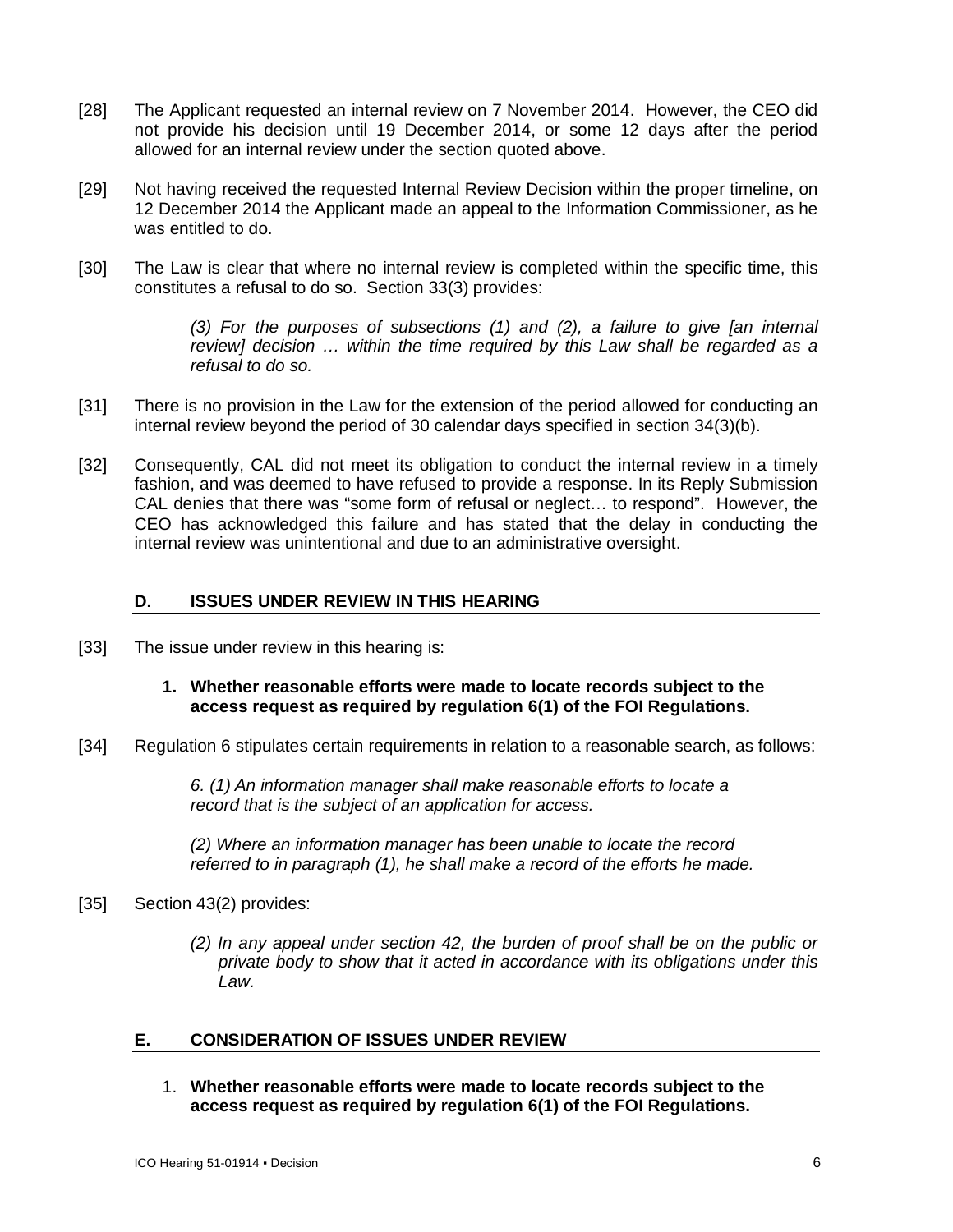- [28] The Applicant requested an internal review on 7 November 2014. However, the CEO did not provide his decision until 19 December 2014, or some 12 days after the period allowed for an internal review under the section quoted above.
- [29] Not having received the requested Internal Review Decision within the proper timeline, on 12 December 2014 the Applicant made an appeal to the Information Commissioner, as he was entitled to do.
- [30] The Law is clear that where no internal review is completed within the specific time, this constitutes a refusal to do so. Section 33(3) provides:

*(3) For the purposes of subsections (1) and (2), a failure to give [an internal review] decision … within the time required by this Law shall be regarded as a refusal to do so.*

- [31] There is no provision in the Law for the extension of the period allowed for conducting an internal review beyond the period of 30 calendar days specified in section 34(3)(b).
- [32] Consequently, CAL did not meet its obligation to conduct the internal review in a timely fashion, and was deemed to have refused to provide a response. In its Reply Submission CAL denies that there was "some form of refusal or neglect… to respond". However, the CEO has acknowledged this failure and has stated that the delay in conducting the internal review was unintentional and due to an administrative oversight.

#### **D. ISSUES UNDER REVIEW IN THIS HEARING**

[33] The issue under review in this hearing is:

## **1. Whether reasonable efforts were made to locate records subject to the access request as required by regulation 6(1) of the FOI Regulations.**

[34] Regulation 6 stipulates certain requirements in relation to a reasonable search, as follows:

*6. (1) An information manager shall make reasonable efforts to locate a record that is the subject of an application for access.*

*(2) Where an information manager has been unable to locate the record referred to in paragraph (1), he shall make a record of the efforts he made.*

#### [35] Section 43(2) provides:

*(2) In any appeal under section 42, the burden of proof shall be on the public or private body to show that it acted in accordance with its obligations under this Law.*

#### **E. CONSIDERATION OF ISSUES UNDER REVIEW**

1. **Whether reasonable efforts were made to locate records subject to the access request as required by regulation 6(1) of the FOI Regulations.**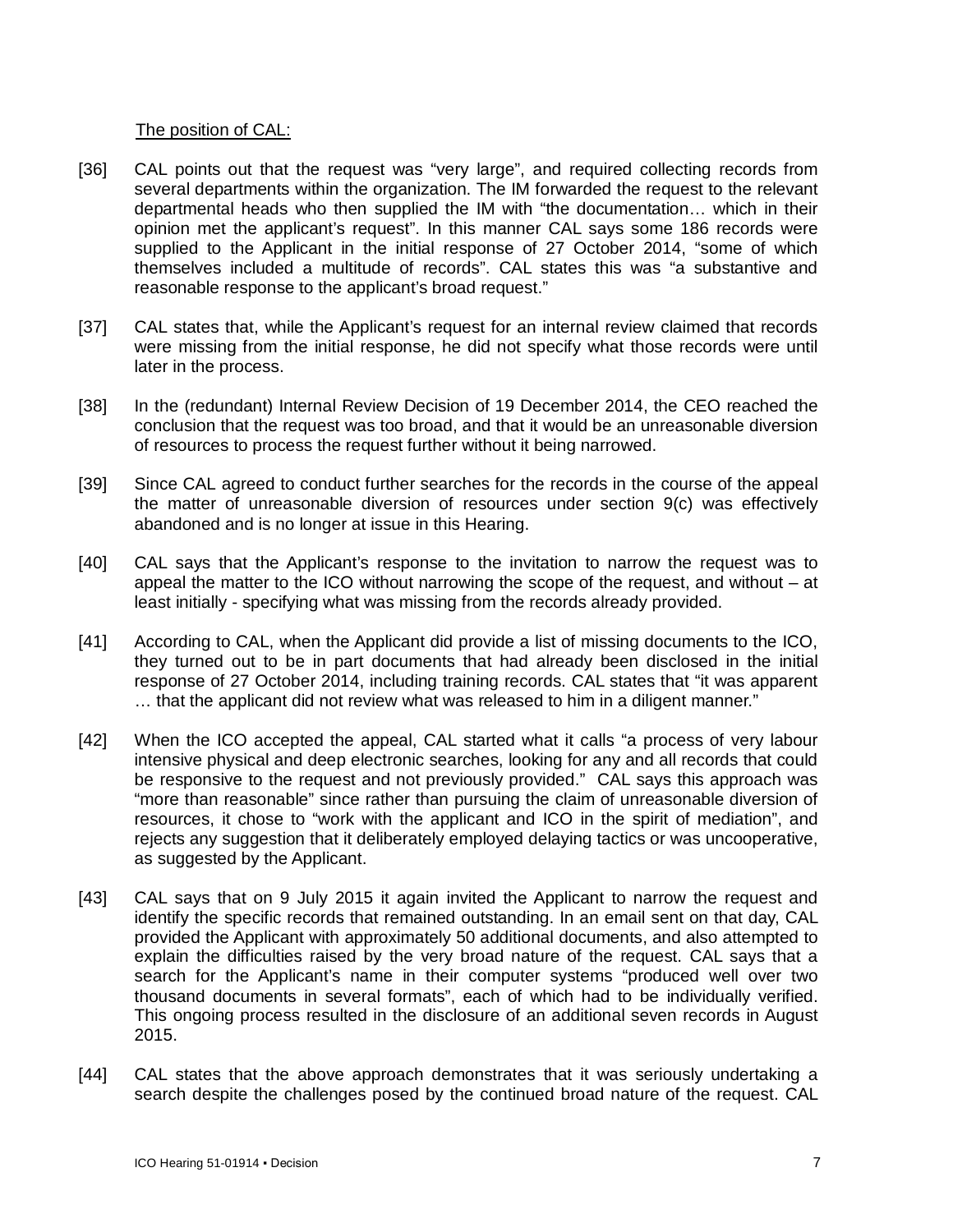### The position of CAL:

- [36] CAL points out that the request was "very large", and required collecting records from several departments within the organization. The IM forwarded the request to the relevant departmental heads who then supplied the IM with "the documentation… which in their opinion met the applicant's request". In this manner CAL says some 186 records were supplied to the Applicant in the initial response of 27 October 2014, "some of which themselves included a multitude of records". CAL states this was "a substantive and reasonable response to the applicant's broad request."
- [37] CAL states that, while the Applicant's request for an internal review claimed that records were missing from the initial response, he did not specify what those records were until later in the process.
- [38] In the (redundant) Internal Review Decision of 19 December 2014, the CEO reached the conclusion that the request was too broad, and that it would be an unreasonable diversion of resources to process the request further without it being narrowed.
- [39] Since CAL agreed to conduct further searches for the records in the course of the appeal the matter of unreasonable diversion of resources under section 9(c) was effectively abandoned and is no longer at issue in this Hearing.
- [40] CAL says that the Applicant's response to the invitation to narrow the request was to appeal the matter to the ICO without narrowing the scope of the request, and without – at least initially - specifying what was missing from the records already provided.
- [41] According to CAL, when the Applicant did provide a list of missing documents to the ICO, they turned out to be in part documents that had already been disclosed in the initial response of 27 October 2014, including training records. CAL states that "it was apparent … that the applicant did not review what was released to him in a diligent manner."
- [42] When the ICO accepted the appeal, CAL started what it calls "a process of very labour intensive physical and deep electronic searches, looking for any and all records that could be responsive to the request and not previously provided." CAL says this approach was "more than reasonable" since rather than pursuing the claim of unreasonable diversion of resources, it chose to "work with the applicant and ICO in the spirit of mediation", and rejects any suggestion that it deliberately employed delaying tactics or was uncooperative, as suggested by the Applicant.
- [43] CAL says that on 9 July 2015 it again invited the Applicant to narrow the request and identify the specific records that remained outstanding. In an email sent on that day, CAL provided the Applicant with approximately 50 additional documents, and also attempted to explain the difficulties raised by the very broad nature of the request. CAL says that a search for the Applicant's name in their computer systems "produced well over two thousand documents in several formats", each of which had to be individually verified. This ongoing process resulted in the disclosure of an additional seven records in August 2015.
- [44] CAL states that the above approach demonstrates that it was seriously undertaking a search despite the challenges posed by the continued broad nature of the request. CAL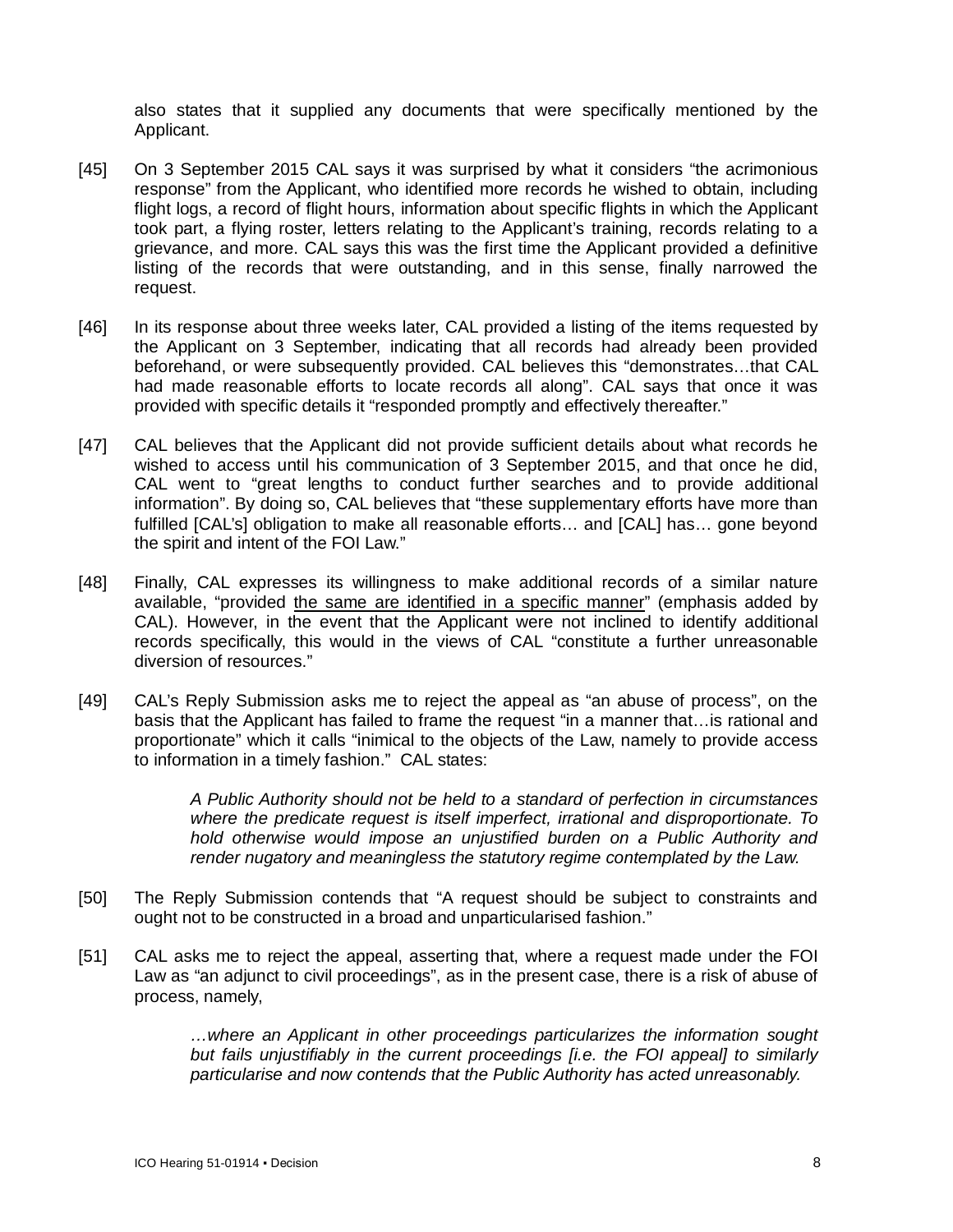also states that it supplied any documents that were specifically mentioned by the Applicant.

- [45] On 3 September 2015 CAL says it was surprised by what it considers "the acrimonious response" from the Applicant, who identified more records he wished to obtain, including flight logs, a record of flight hours, information about specific flights in which the Applicant took part, a flying roster, letters relating to the Applicant's training, records relating to a grievance, and more. CAL says this was the first time the Applicant provided a definitive listing of the records that were outstanding, and in this sense, finally narrowed the request.
- [46] In its response about three weeks later, CAL provided a listing of the items requested by the Applicant on 3 September, indicating that all records had already been provided beforehand, or were subsequently provided. CAL believes this "demonstrates…that CAL had made reasonable efforts to locate records all along". CAL says that once it was provided with specific details it "responded promptly and effectively thereafter."
- [47] CAL believes that the Applicant did not provide sufficient details about what records he wished to access until his communication of 3 September 2015, and that once he did, CAL went to "great lengths to conduct further searches and to provide additional information". By doing so, CAL believes that "these supplementary efforts have more than fulfilled [CAL's] obligation to make all reasonable efforts… and [CAL] has… gone beyond the spirit and intent of the FOI Law."
- [48] Finally, CAL expresses its willingness to make additional records of a similar nature available, "provided the same are identified in a specific manner" (emphasis added by CAL). However, in the event that the Applicant were not inclined to identify additional records specifically, this would in the views of CAL "constitute a further unreasonable diversion of resources."
- [49] CAL's Reply Submission asks me to reject the appeal as "an abuse of process", on the basis that the Applicant has failed to frame the request "in a manner that…is rational and proportionate" which it calls "inimical to the objects of the Law, namely to provide access to information in a timely fashion." CAL states:

*A Public Authority should not be held to a standard of perfection in circumstances where the predicate request is itself imperfect, irrational and disproportionate. To hold otherwise would impose an unjustified burden on a Public Authority and render nugatory and meaningless the statutory regime contemplated by the Law.*

- [50] The Reply Submission contends that "A request should be subject to constraints and ought not to be constructed in a broad and unparticularised fashion."
- [51] CAL asks me to reject the appeal, asserting that, where a request made under the FOI Law as "an adjunct to civil proceedings", as in the present case, there is a risk of abuse of process, namely,

*…where an Applicant in other proceedings particularizes the information sought but fails unjustifiably in the current proceedings [i.e. the FOI appeal] to similarly particularise and now contends that the Public Authority has acted unreasonably.*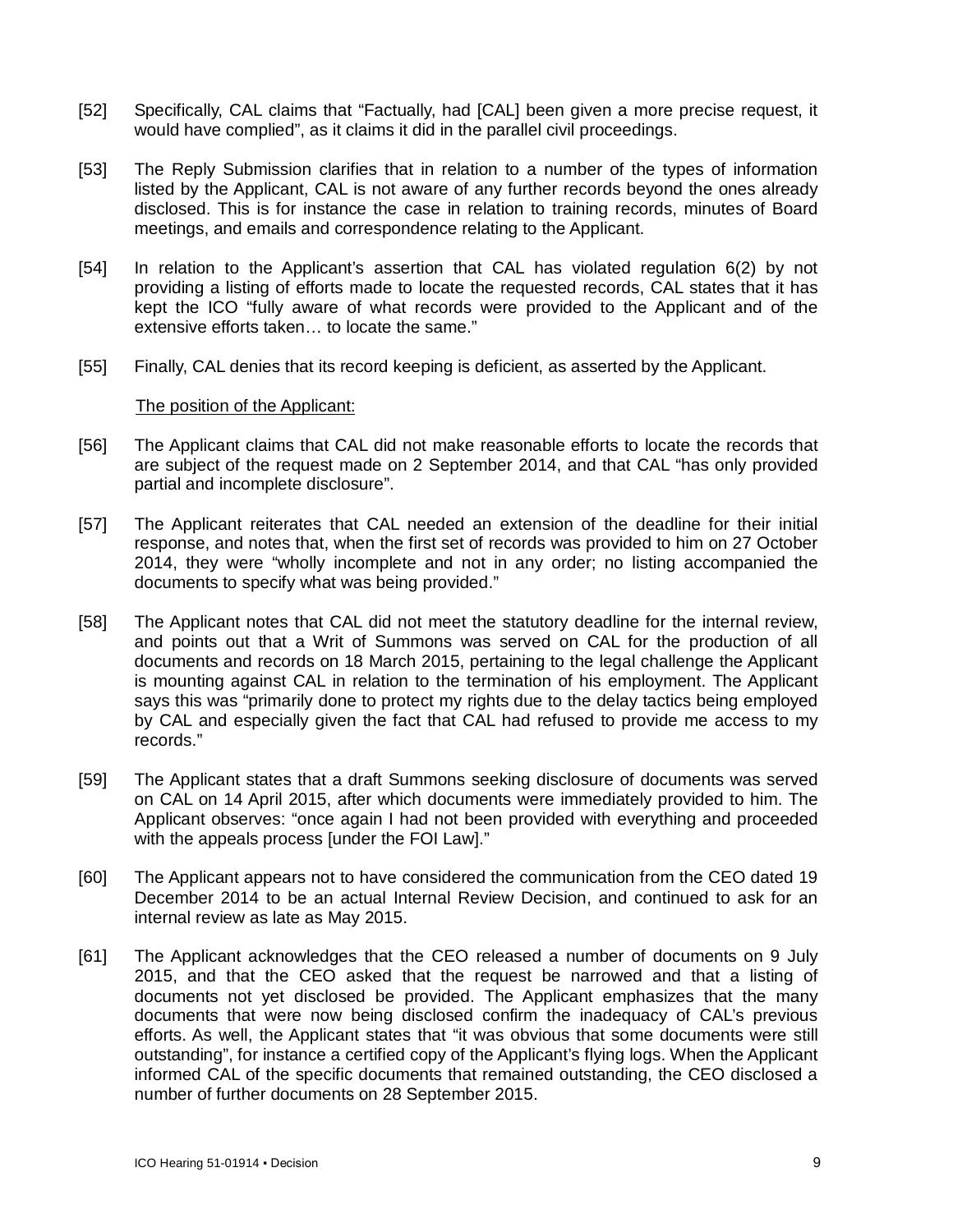- [52] Specifically, CAL claims that "Factually, had [CAL] been given a more precise request, it would have complied", as it claims it did in the parallel civil proceedings.
- [53] The Reply Submission clarifies that in relation to a number of the types of information listed by the Applicant, CAL is not aware of any further records beyond the ones already disclosed. This is for instance the case in relation to training records, minutes of Board meetings, and emails and correspondence relating to the Applicant.
- [54] In relation to the Applicant's assertion that CAL has violated regulation 6(2) by not providing a listing of efforts made to locate the requested records, CAL states that it has kept the ICO "fully aware of what records were provided to the Applicant and of the extensive efforts taken… to locate the same."
- [55] Finally, CAL denies that its record keeping is deficient, as asserted by the Applicant.

#### The position of the Applicant:

- [56] The Applicant claims that CAL did not make reasonable efforts to locate the records that are subject of the request made on 2 September 2014, and that CAL "has only provided partial and incomplete disclosure".
- [57] The Applicant reiterates that CAL needed an extension of the deadline for their initial response, and notes that, when the first set of records was provided to him on 27 October 2014, they were "wholly incomplete and not in any order; no listing accompanied the documents to specify what was being provided."
- [58] The Applicant notes that CAL did not meet the statutory deadline for the internal review, and points out that a Writ of Summons was served on CAL for the production of all documents and records on 18 March 2015, pertaining to the legal challenge the Applicant is mounting against CAL in relation to the termination of his employment. The Applicant says this was "primarily done to protect my rights due to the delay tactics being employed by CAL and especially given the fact that CAL had refused to provide me access to my records."
- [59] The Applicant states that a draft Summons seeking disclosure of documents was served on CAL on 14 April 2015, after which documents were immediately provided to him. The Applicant observes: "once again I had not been provided with everything and proceeded with the appeals process [under the FOI Law]."
- [60] The Applicant appears not to have considered the communication from the CEO dated 19 December 2014 to be an actual Internal Review Decision, and continued to ask for an internal review as late as May 2015.
- [61] The Applicant acknowledges that the CEO released a number of documents on 9 July 2015, and that the CEO asked that the request be narrowed and that a listing of documents not yet disclosed be provided. The Applicant emphasizes that the many documents that were now being disclosed confirm the inadequacy of CAL's previous efforts. As well, the Applicant states that "it was obvious that some documents were still outstanding", for instance a certified copy of the Applicant's flying logs. When the Applicant informed CAL of the specific documents that remained outstanding, the CEO disclosed a number of further documents on 28 September 2015.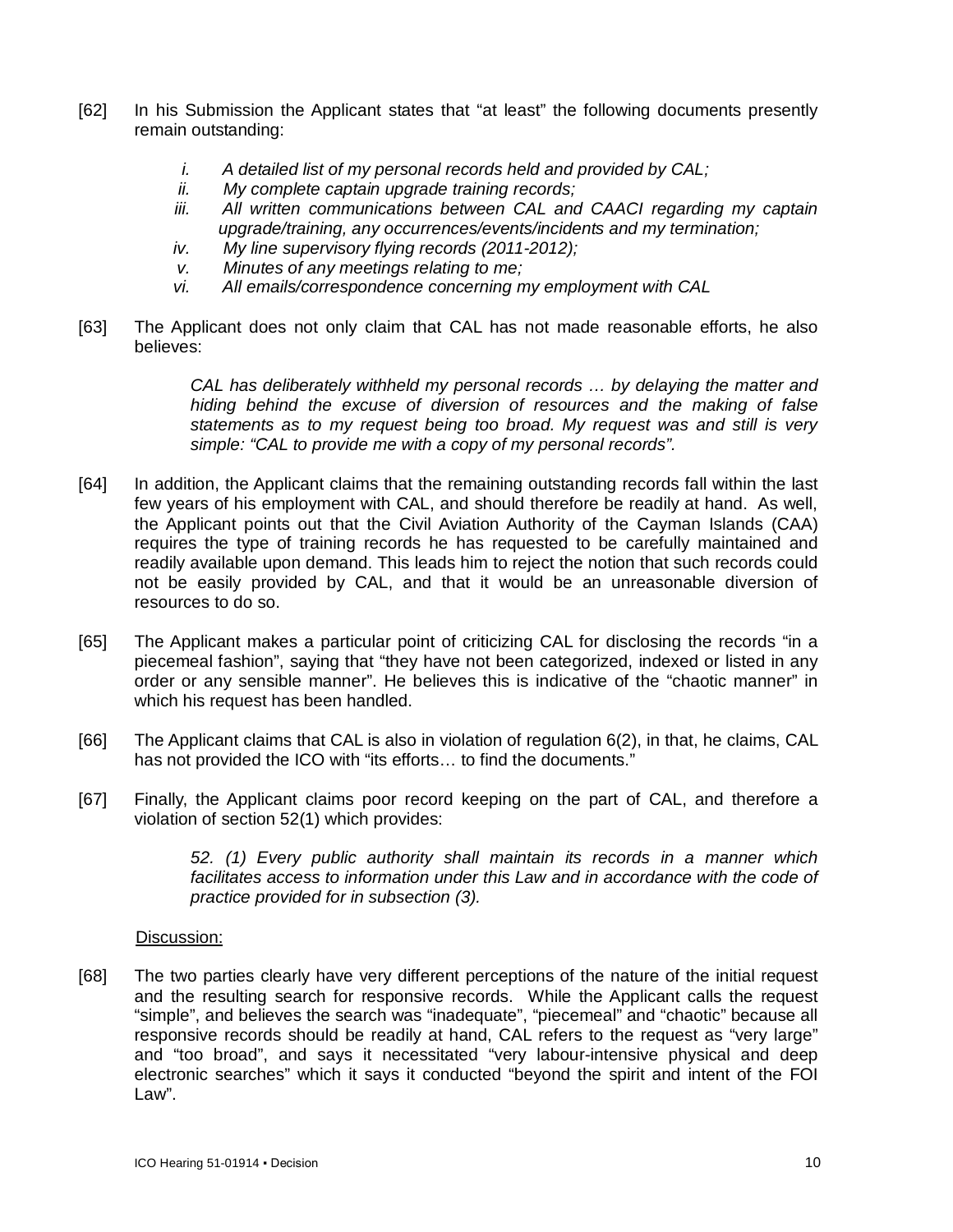- [62] In his Submission the Applicant states that "at least" the following documents presently remain outstanding:
	- *i. A detailed list of my personal records held and provided by CAL;*
	- *ii. My complete captain upgrade training records;*
	- *iii. All written communications between CAL and CAACI regarding my captain upgrade/training, any occurrences/events/incidents and my termination;*
	- *iv. My line supervisory flying records (2011-2012);*
	- *v. Minutes of any meetings relating to me;*
	- *vi. All emails/correspondence concerning my employment with CAL*
- [63] The Applicant does not only claim that CAL has not made reasonable efforts, he also believes:

*CAL has deliberately withheld my personal records … by delaying the matter and hiding behind the excuse of diversion of resources and the making of false statements as to my request being too broad. My request was and still is very simple: "CAL to provide me with a copy of my personal records".*

- [64] In addition, the Applicant claims that the remaining outstanding records fall within the last few years of his employment with CAL, and should therefore be readily at hand. As well, the Applicant points out that the Civil Aviation Authority of the Cayman Islands (CAA) requires the type of training records he has requested to be carefully maintained and readily available upon demand. This leads him to reject the notion that such records could not be easily provided by CAL, and that it would be an unreasonable diversion of resources to do so.
- [65] The Applicant makes a particular point of criticizing CAL for disclosing the records "in a piecemeal fashion", saying that "they have not been categorized, indexed or listed in any order or any sensible manner". He believes this is indicative of the "chaotic manner" in which his request has been handled.
- [66] The Applicant claims that CAL is also in violation of regulation 6(2), in that, he claims, CAL has not provided the ICO with "its efforts... to find the documents."
- [67] Finally, the Applicant claims poor record keeping on the part of CAL, and therefore a violation of section 52(1) which provides:

*52. (1) Every public authority shall maintain its records in a manner which facilitates access to information under this Law and in accordance with the code of practice provided for in subsection (3).*

#### Discussion:

[68] The two parties clearly have very different perceptions of the nature of the initial request and the resulting search for responsive records. While the Applicant calls the request "simple", and believes the search was "inadequate", "piecemeal" and "chaotic" because all responsive records should be readily at hand, CAL refers to the request as "very large" and "too broad", and says it necessitated "very labour-intensive physical and deep electronic searches" which it says it conducted "beyond the spirit and intent of the FOI Law".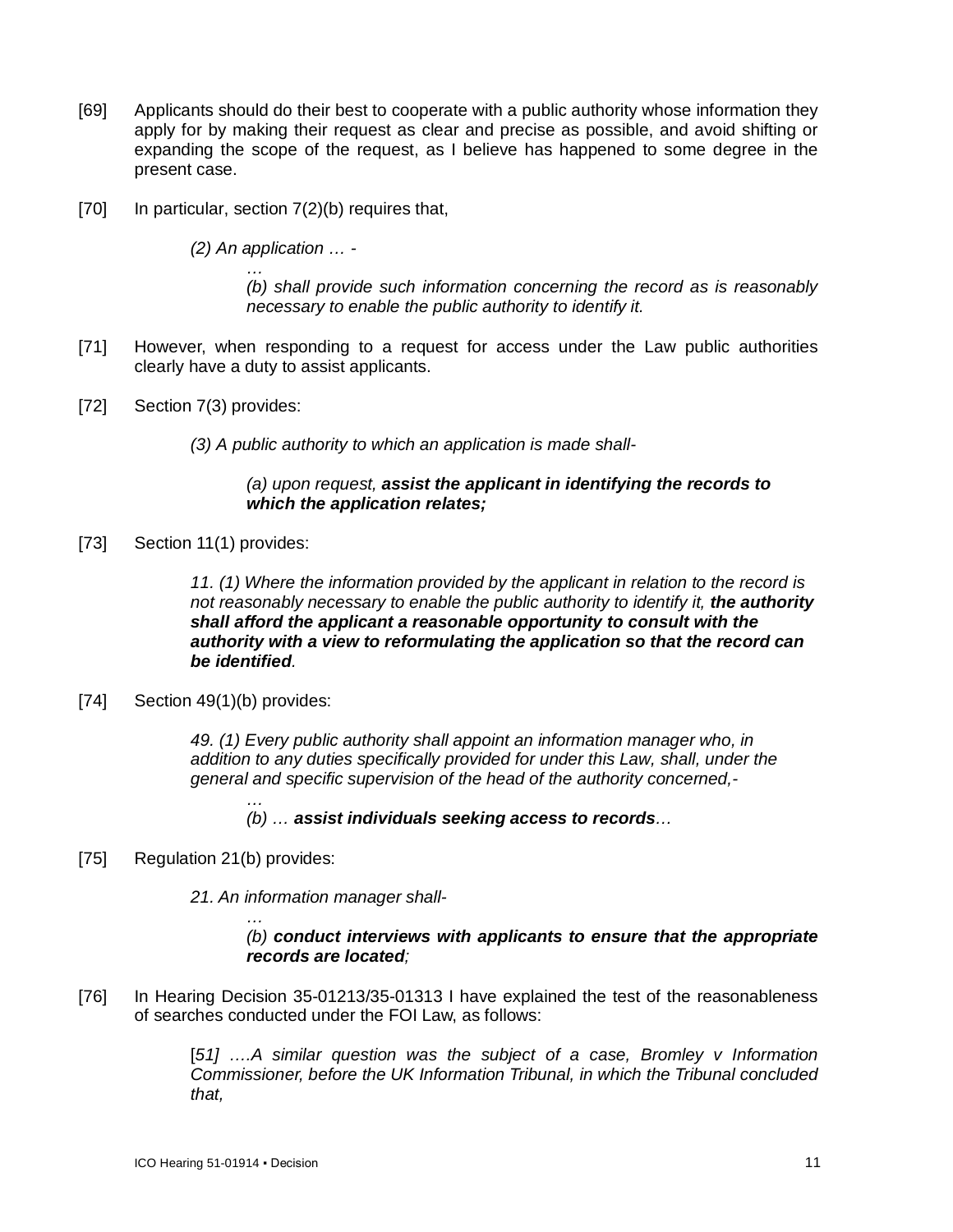- [69] Applicants should do their best to cooperate with a public authority whose information they apply for by making their request as clear and precise as possible, and avoid shifting or expanding the scope of the request, as I believe has happened to some degree in the present case.
- [70] In particular, section 7(2)(b) requires that,

*(2) An application … -*

*… (b) shall provide such information concerning the record as is reasonably necessary to enable the public authority to identify it.*

- [71] However, when responding to a request for access under the Law public authorities clearly have a duty to assist applicants.
- [72] Section 7(3) provides:
	- *(3) A public authority to which an application is made shall-*

### *(a) upon request, assist the applicant in identifying the records to which the application relates;*

[73] Section 11(1) provides:

*11. (1) Where the information provided by the applicant in relation to the record is not reasonably necessary to enable the public authority to identify it, the authority shall afford the applicant a reasonable opportunity to consult with the authority with a view to reformulating the application so that the record can be identified.*

[74] Section 49(1)(b) provides:

*49. (1) Every public authority shall appoint an information manager who, in addition to any duties specifically provided for under this Law, shall, under the general and specific supervision of the head of the authority concerned,-*

*…*

*…*

- *(b) … assist individuals seeking access to records…*
- [75] Regulation 21(b) provides:

*21. An information manager shall-*

#### *(b) conduct interviews with applicants to ensure that the appropriate records are located;*

[76] In Hearing Decision 35-01213/35-01313 I have explained the test of the reasonableness of searches conducted under the FOI Law, as follows:

> [*51] ….A similar question was the subject of a case, Bromley v Information Commissioner, before the UK Information Tribunal, in which the Tribunal concluded that,*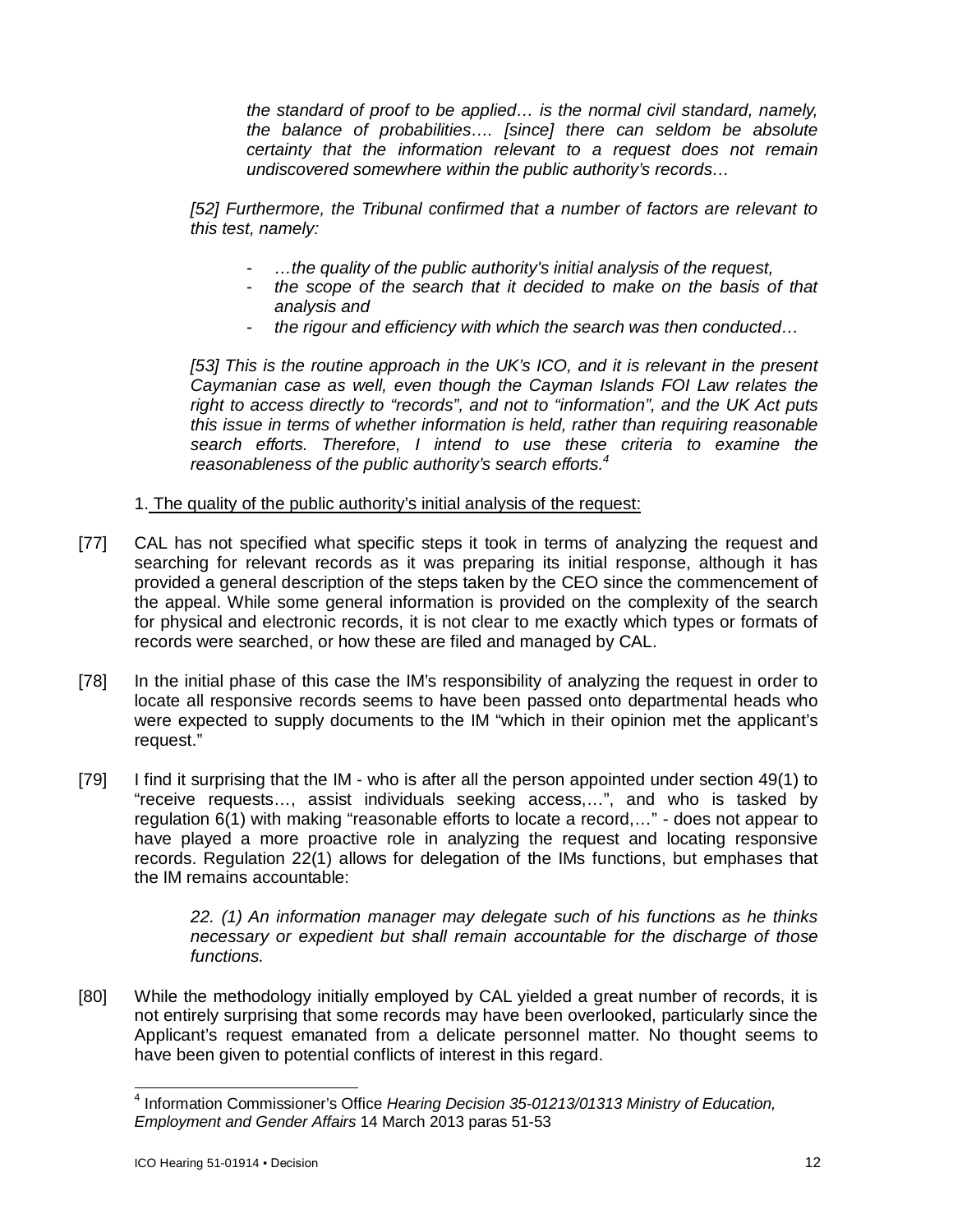*the standard of proof to be applied… is the normal civil standard, namely, the balance of probabilities…. [since] there can seldom be absolute certainty that the information relevant to a request does not remain undiscovered somewhere within the public authority's records…*

*[52] Furthermore, the Tribunal confirmed that a number of factors are relevant to this test, namely:*

- *…the quality of the public authority's initial analysis of the request,*
- *the scope of the search that it decided to make on the basis of that analysis and*
- *the rigour and efficiency with which the search was then conducted…*

[53] This is the routine approach in the UK's ICO, and it is relevant in the present *Caymanian case as well, even though the Cayman Islands FOI Law relates the right to access directly to "records", and not to "information", and the UK Act puts this issue in terms of whether information is held, rather than requiring reasonable search efforts. Therefore, I intend to use these criteria to examine the reasonableness of the public authority's search efforts.<sup>4</sup>*

1. The quality of the public authority's initial analysis of the request:

- [77] CAL has not specified what specific steps it took in terms of analyzing the request and searching for relevant records as it was preparing its initial response, although it has provided a general description of the steps taken by the CEO since the commencement of the appeal. While some general information is provided on the complexity of the search for physical and electronic records, it is not clear to me exactly which types or formats of records were searched, or how these are filed and managed by CAL.
- [78] In the initial phase of this case the IM's responsibility of analyzing the request in order to locate all responsive records seems to have been passed onto departmental heads who were expected to supply documents to the IM "which in their opinion met the applicant's request."
- [79] I find it surprising that the IM who is after all the person appointed under section 49(1) to "receive requests…, assist individuals seeking access,…", and who is tasked by regulation 6(1) with making "reasonable efforts to locate a record,…" - does not appear to have played a more proactive role in analyzing the request and locating responsive records. Regulation 22(1) allows for delegation of the IMs functions, but emphases that the IM remains accountable:

*22. (1) An information manager may delegate such of his functions as he thinks necessary or expedient but shall remain accountable for the discharge of those functions.*

[80] While the methodology initially employed by CAL yielded a great number of records, it is not entirely surprising that some records may have been overlooked, particularly since the Applicant's request emanated from a delicate personnel matter. No thought seems to have been given to potential conflicts of interest in this regard.

 4 Information Commissioner's Office *Hearing Decision 35-01213/01313 Ministry of Education, Employment and Gender Affairs* 14 March 2013 paras 51-53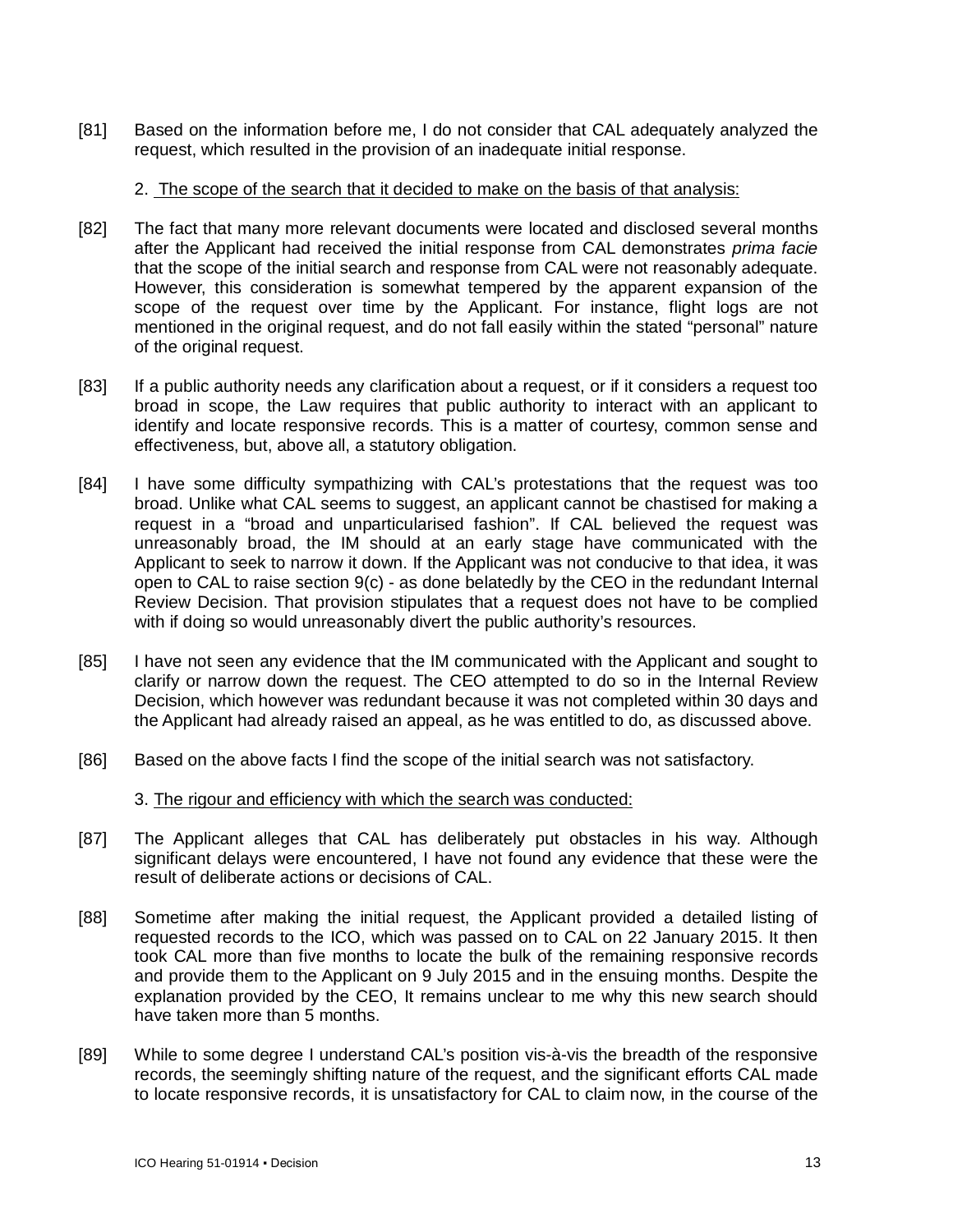[81] Based on the information before me, I do not consider that CAL adequately analyzed the request, which resulted in the provision of an inadequate initial response.

#### 2. The scope of the search that it decided to make on the basis of that analysis:

- [82] The fact that many more relevant documents were located and disclosed several months after the Applicant had received the initial response from CAL demonstrates *prima facie* that the scope of the initial search and response from CAL were not reasonably adequate. However, this consideration is somewhat tempered by the apparent expansion of the scope of the request over time by the Applicant. For instance, flight logs are not mentioned in the original request, and do not fall easily within the stated "personal" nature of the original request.
- [83] If a public authority needs any clarification about a request, or if it considers a request too broad in scope, the Law requires that public authority to interact with an applicant to identify and locate responsive records. This is a matter of courtesy, common sense and effectiveness, but, above all, a statutory obligation.
- [84] I have some difficulty sympathizing with CAL's protestations that the request was too broad. Unlike what CAL seems to suggest, an applicant cannot be chastised for making a request in a "broad and unparticularised fashion". If CAL believed the request was unreasonably broad, the IM should at an early stage have communicated with the Applicant to seek to narrow it down. If the Applicant was not conducive to that idea, it was open to CAL to raise section 9(c) - as done belatedly by the CEO in the redundant Internal Review Decision. That provision stipulates that a request does not have to be complied with if doing so would unreasonably divert the public authority's resources.
- [85] I have not seen any evidence that the IM communicated with the Applicant and sought to clarify or narrow down the request. The CEO attempted to do so in the Internal Review Decision, which however was redundant because it was not completed within 30 days and the Applicant had already raised an appeal, as he was entitled to do, as discussed above.
- [86] Based on the above facts I find the scope of the initial search was not satisfactory.

#### 3. The rigour and efficiency with which the search was conducted:

- [87] The Applicant alleges that CAL has deliberately put obstacles in his way. Although significant delays were encountered, I have not found any evidence that these were the result of deliberate actions or decisions of CAL.
- [88] Sometime after making the initial request, the Applicant provided a detailed listing of requested records to the ICO, which was passed on to CAL on 22 January 2015. It then took CAL more than five months to locate the bulk of the remaining responsive records and provide them to the Applicant on 9 July 2015 and in the ensuing months. Despite the explanation provided by the CEO, It remains unclear to me why this new search should have taken more than 5 months.
- [89] While to some degree I understand CAL's position vis-à-vis the breadth of the responsive records, the seemingly shifting nature of the request, and the significant efforts CAL made to locate responsive records, it is unsatisfactory for CAL to claim now, in the course of the